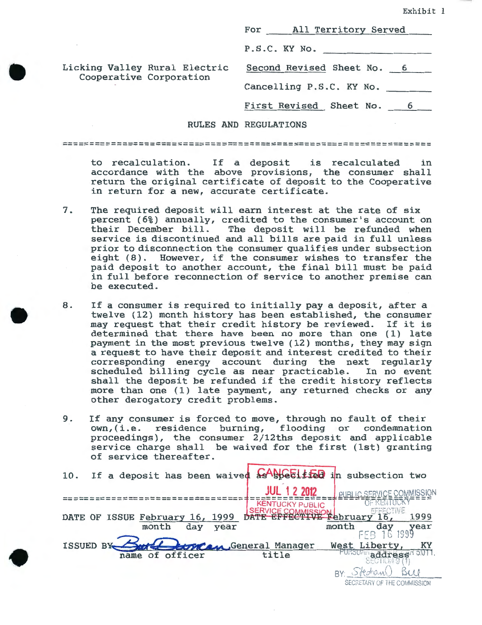|                               | For All Territory Served                             |
|-------------------------------|------------------------------------------------------|
|                               | P.S.C. KY No.                                        |
| Licking Valley Rural Electric | Second Revised Sheet No. 6                           |
| Cooperative Corporation       | Cancelling P.S.C. KY No.                             |
|                               | First Revised Sheet No. 6                            |
|                               | <b>RULES AND REGULATIONS</b>                         |
|                               |                                                      |
|                               | to recalculation. If a deposit is recalculated<br>in |

•

•

•

accordance with the above provisions, the consumer shall return the original certificate of deposit to the Cooperative in return for a new, accurate certificate.

- 7. The required deposit will earn interest at the rate of six percent (6%) annually, credited to the consumer's account on their December bill. The deposit will be refunded when service is discontinued and all bills are paid in full unless prior to disconnection the consumer qualifies under subsection eight (8). However, if the consumer wishes to transfer the paid deposit to another account, the final bill must be paid in full before reconnection of service to another premise can be executed.
- 8. If a consumer is required to initially pay a deposit, after a twelve (12) month history has been established, the consumer may request that their credit history be reviewed. If it is determined that there have been no more than one (1) late payment in the most previous twelve ( 12) months, they may sign a request to have their deposit and interest credited to their corresponding energy account during the next regularly scheduled billing cycle as near practicable. shall the deposit be refunded if the credit history reflects more than one (1) late payment, any returned checks or any other derogatory credit problems.
- 9. If any consumer is forced to move, through no fault of their own, (i.e. residence burning, flooding or condemnation proceedings), the consumer 2/12ths deposit and applicable service charge shall be waived for the first (1st) granting of service thereafter.

10. If a deposit has been waived  $2486611720$  in subsection two **JUL 12 2012 EXERCISE EXAMPLE AND REAL PROPERTY** ================================= CTIVE DATE OF ISSUE February 16, 1999 1999 month day year FEB<sup>day</sup> 1999 month year tran General Manager West Liberty, KY **ISSUED BY** URSUAR address<sup>n SOTT</sup>. name of officer title BY: Skohans Buy SECRETARY OF THE COMMISSION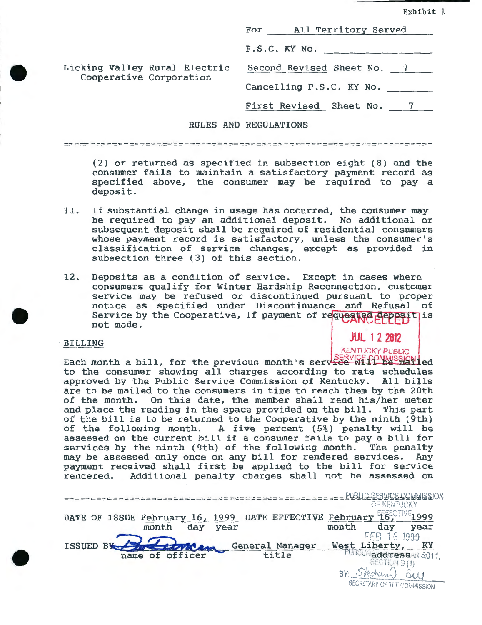Exhibit 1

|                               | For All Territory Served                                          |
|-------------------------------|-------------------------------------------------------------------|
|                               | P.S.C. KY No.                                                     |
| Licking Valley Rural Electric | Second Revised Sheet No. 7                                        |
| Cooperative Corporation       | Cancelling P.S.C. KY No.                                          |
|                               | First Revised Sheet No. 7                                         |
|                               | <b>RULES AND REGULATIONS</b>                                      |
|                               |                                                                   |
|                               | $(9)$ are restricted as exactled in eigenfrom aight $(9)$ and the |

(2) or returned as specified in subsection eight (8) and the consumer fails to maintain a satisfactory payment record as specified above, the consumer may be required to pay a deposit.

- 11. If substantial change in usage has occurred, the consumer may be required to pay an additional deposit. No additional or subsequent deposit shall be required of residential consumers whose payment record is satisfactory, unless the consumer's classification of service changes, except as provided in subsection three (3) of this section.
- 12. Deposits as a condition of service. Except in cases where consumers qualify for Winter Hardship Reconnection, customer service may be refused or discontinued pursuant to proper notice as specified under Discontinuance and Refusal of Service by the Cooperative, if payment of requested deposit is not made.

# **JUL 1 2 2012**

#### BILLING

•

•

•

EACH MONTHLIC KENTUCKY PUBLIC<br>Each month a bill, for the previous month's service-wiff buyses to the consumer showing all charges according to rate schedules approved by the Public Service Commission of Kentucky. All bills are to be mailed to the consumers in time to reach them by the 20th of the month. On this date, the member shall read his/her meter and place the reading in the space provided on the bill. This part of the bill is to be returned to the Cooperative by the ninth (9th) of the following month. A five percent (5%) penalty will be assessed on the current bill if a consumer fails to pay a bill for<br>services by the ninth (9th) of the following month. The penalty services by the ninth (9th) of the following month. The penalty<br>may be assessed only once on any bill for rendered services. Any may be assessed only once on any bill for rendered services. payment received shall first be applied to the bill for service<br>rendered. Additional penalty charges shall not be assessed on Additional penalty charges shall not be assessed on

|                                                                                    | <b><i>CF KENTUCKY</i></b>                                       |
|------------------------------------------------------------------------------------|-----------------------------------------------------------------|
| DATE EFFECTIVE February<br>DATE OF ISSUE February 16, 1999<br>day<br>month<br>year | 16.CTIVE<br>month<br>day<br>year                                |
| General Manager<br>ISSUED BY<br>name of officer<br>title                           | 16 1999<br>FFB 1<br>Liberty,<br>West<br>PURSUA addressAR 5.011. |
|                                                                                    | SECTION 9 (1)<br>SECRETARY OF THE COMMISSION                    |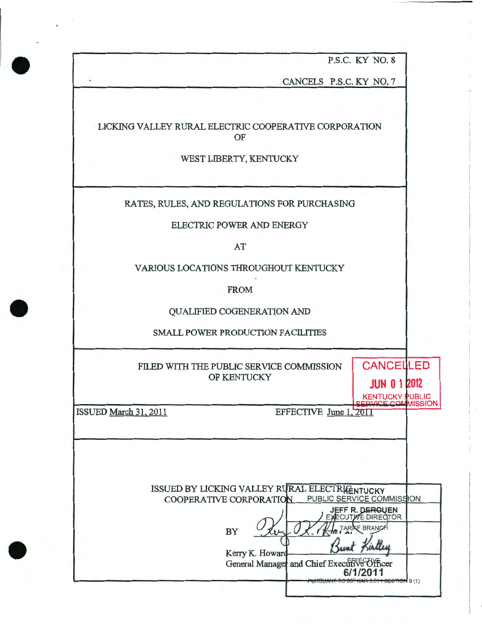P.S.C. KY NO. 8

CANCELS P.S.C. KY NO. 7

LICKING VALLEY RURAL ELECTRIC COOPERATIVE CORPORATION OF

WEST LIBERTY, KENTUCKY

RATES, RULES, AND REGULATIONS FOR PURCHASING

ELECTRIC POWER AND ENERGY

AT

VARIOUS LOCATIONS THROUGHOUT KENTUCKY

FROM

QUALIFIED COGENERATION AND

SMALL POWER PRODUCTION FACILITIES

FILED WITH THE PUBLIC SERVICE COMMISSION OF KENTUCKY

ISSUED March 31.2011

•

•

•

KENTUCKY PUBLIC<br>ERVICE COMMISSION EFFECTIVE June 1, 2011

**CANCELLED** 

**JUN 0 1 2012** 

| ISSUED BY LICKING VALLEY RURAL ELECTRICENTUCKY<br>PUBLIC SERVICE COMMISSION<br>COOPERATIVE CORPORATION                                                  |
|---------------------------------------------------------------------------------------------------------------------------------------------------------|
| <b>JEFF R. DEROUEN</b><br>EXECUTIVE DIRECTOR<br>TARIFF BRANC<br><b>BY</b><br>Kerry K. Howard<br>General Manager and Chief Executive Officer<br>6/1/2011 |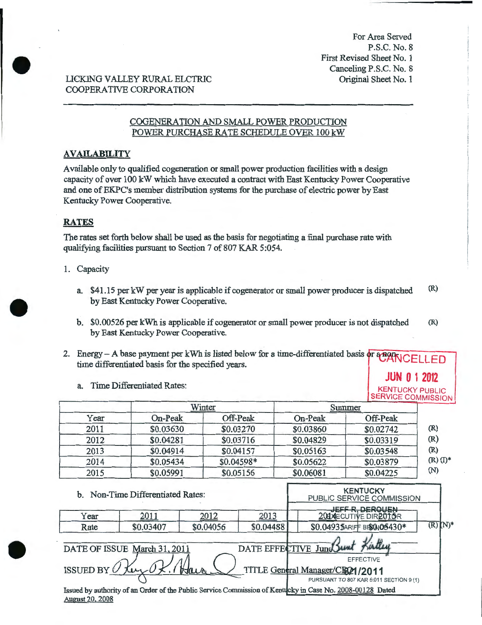For Area Served P.S.C. No.8 First Revised Sheet No. 1 Canceling P.S.C. No. 8 Original Sheet No. 1

**JUN 0 1 2012** 

# LICKING VALLEY RURAL ELCTRIC COOPERATIVE CORPORATION

# COGENERATION AND SMALL POWER PRODUCTION POWER PURCHASE RATE SCHEDULE OVER 100 kW

## **AVAILABILITY**

Available only to qualified cogeneration or small power production facilities with a design capacity of over 100 kW which have executed a contract with East Kentucky Power Cooperative and one of EKPC's member distribution systems for the purchase of electric power by East Kentucky Power Cooperative.

# **RATES**

•

•

•

The rates set forth below shall be used as the basis for negotiating a final purchase rate with qualifying facilities pursuant to Section 7 of 807 KAR 5:054.

- **1.** Capacity
	- a. \$41.15 per kW per year is applicable if cogenerator or small power producer is dispatched (R) by East Kentucky Power Cooperative.
	- b. \$0.00526 per kWh is applicable if cogenerator or small power producer is not dispatched (R) by East Kentucky Power Cooperative.
- 2. Energy A base payment per kWh is listed below for a time-differentiated basis or  $\frac{1}{4}$   $\frac{1}{4}$   $\frac{1}{10}$  time differentiated basis for the specified years.
	- a. Time Differentiated Rates: KENTUCKY PUBLIC

|      |           |             |           | <b>SERVICE COMMISSION</b> |               |
|------|-----------|-------------|-----------|---------------------------|---------------|
|      |           | Winter      |           | Summer                    |               |
| Year | On-Peak   | Off-Peak    | On-Peak   | Off-Peak                  |               |
| 2011 | \$0.03630 | \$0.03270   | \$0.03860 | \$0.02742                 | (R)           |
| 2012 | \$0.04281 | \$0.03716   | \$0.04829 | \$0.03319                 | (R)           |
| 2013 | \$0.04914 | \$0.04157   | \$0.05163 | \$0.03548                 | (R)           |
| 2014 | \$0.05434 | $$0.04598*$ | \$0.05622 | \$0.03879                 | $(R)$ $(I)^*$ |
| 2015 | \$0.05991 | \$0.05156   | \$0.06081 | \$0.04225                 | (N)           |

**KENTUCKY** b. Non-Time Differentiated Rates: PUBLIC SERVICE COMMISSION Year 2011 2012 2013 2014 BEFF R, DEROUEN<br>Rate \$0.03407 \$0.04056 \$0.04488 \$0.04935ARIF BI\$005430\* (R) Year 2011 2012 2013 DATE OF ISSUE March 31, 2011 DATE EFFECTIVE June 11 DATE EFFECTIVE<br>Hair <u>Congral</u> Ma  $\text{ISSUBD BY} \cup \text{Inv} \cup \text{X}$ .  $\text{Max.} \cup \text{TrLE General Management}$  /2011 PURSUANT TO 807 KAR 5:011 SECTION 9 (1) Issued by authority of an Order of the Public Service Commission of Kentucky in Case No. 2008-00128 Dated August 20. 2008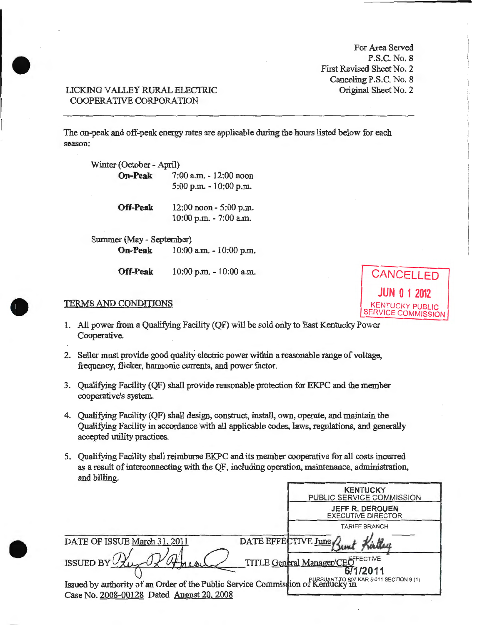For Area Served P.S.C. No.8 First Revised Sheet No. 2 Canceling P.S.C. No. 8 Original Sheet No. 2

**JUN 0 1 2012** 

SERVICE COMMISSION

## LICKING VALLEY RURAL ELECTRIC COOPERATIVE CORPORATION

•

•

•

The on-peak and off-peak energy rates are applicable during the hours listed below for each season:

| Winter (October - April) |                                                      |  |
|--------------------------|------------------------------------------------------|--|
| <b>On-Peak</b>           | 7:00 a.m. - 12:00 noon<br>$5:00$ p.m. $-10:00$ p.m.  |  |
| <b>Off-Peak</b>          | 12:00 noon - 5:00 p.m.<br>$10:00$ p.m. $- 7:00$ a.m. |  |

Summer (May- September) **On-Peak** 10:00 a.m. - 10:00 p.m.

**Off-Peak** 10:00 p.m. - 10:00 a.m. **CANCELLED** 

# TERMS AND CONDITIONS KENTUCKY PUBLIC

- 1. All power from a Qualifying Facility (QF) will be sold only to East Kentucky Power Cooperative.
- 2. Seller must provide good quality electric power within a reasonable range of voltage, frequency, flicker, harmonic currents, and power factor.
- 3. Qualifying Facility (QF) shall provide reasonable protection for EKPC and the member cooperative's system.
- 4. Qualifying Facility (QF) shall design, construct, install, own, operate, and maintain the Qualifying Facility in accordance with all applicable codes, laws, regulations, and generally accepted utility practices.
- 5. Qualifying Facility shall reimburse EKPC and its member cooperative for all costs incurred as a result of interconnecting with the QF, including operation, maintenance, administration, and billing

|                                                                                                                              | <b>KENTUCKY</b><br>PUBLIC SERVICE COMMISSION  |
|------------------------------------------------------------------------------------------------------------------------------|-----------------------------------------------|
|                                                                                                                              | JEFF R. DEROUEN<br><b>EXECUTIVE DIRECTOR</b>  |
|                                                                                                                              | <b>TARIFF BRANCH</b>                          |
| DATE OF ISSUE March 31, 2011                                                                                                 | DATE EFFECTIVE June                           |
| ISSUED BY                                                                                                                    | TITLE General Manager/CEOFFECTIVE<br>671/2011 |
| Issued by authority of an Order of the Public Service Commission of Kentucky in<br>Case No. 2008-00128 Dated August 20, 2008 |                                               |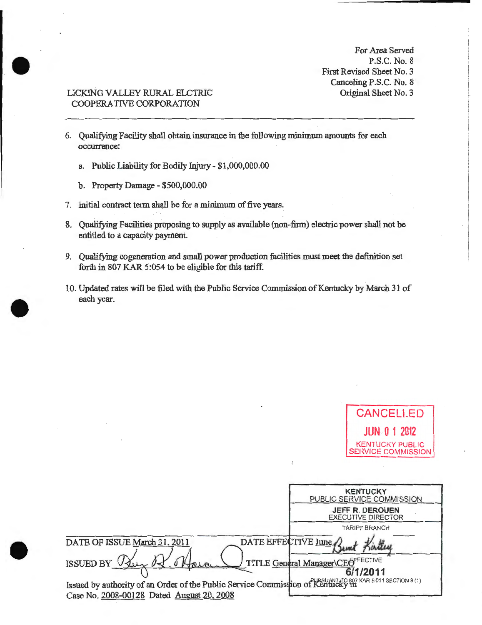For Area Served P.S.C. No. 8 First Revised Sheet No. 3 Canceling P.S.C. No. 8 Original Sheet No.3

**CANCELLED** 

# LICKING VALLEY RURAL ELCTRIC COOPERATIVE CORPORATION

•

•

•

- 6. Qualifying Facility shall obtain insurance in the following minimum amounts for each occurrence:
	- a. Public Liability for Bodily Injury \$1,000,000.00
	- b. Property Damage- \$500,000.00
- 7. Initial contract term shall be for a minimum of five years.
- 8. Qualifying Facilities proposing to supply as available (non-firm) electric power shall not be entitled to a capacity payment.
- 9. Qualifying cogeneration and small power production facilities must meet the definition set forth in 807 KAR 5:054 to be eligible for this tariff.
- 10. Updated rates will be filed with the Public Service Commission of Kentucky by March 31 of each year.

|                                                                                 | <b>UANUELLEU</b>                                                           |
|---------------------------------------------------------------------------------|----------------------------------------------------------------------------|
|                                                                                 | <b>JUN 0 1 2012</b><br><b>KENTUCKY PUBLIC</b><br><b>SERVICE COMMISSION</b> |
|                                                                                 | <b>KENTUCKY</b>                                                            |
|                                                                                 | PUBLIC SERVICE COMMISSION                                                  |
|                                                                                 | <b>JEFF R. DEROUEN</b><br><b>EXECUTIVE DIRECTOR</b>                        |
|                                                                                 | <b>TARIFF BRANCH</b>                                                       |
| DATE EFFECTIVE June,<br>DATE OF ISSUE March 31, 2011                            | <b>JAJAKA</b>                                                              |
| <b>ISSUED BY</b> U.                                                             | TITLE General Manager\CEOFFECTIVE                                          |
|                                                                                 | 6/1/2011                                                                   |
| Issued by authority of an Order of the Public Service Commission of Kentucky in |                                                                            |
| Case No. 2008-00128 Dated August 20, 2008                                       |                                                                            |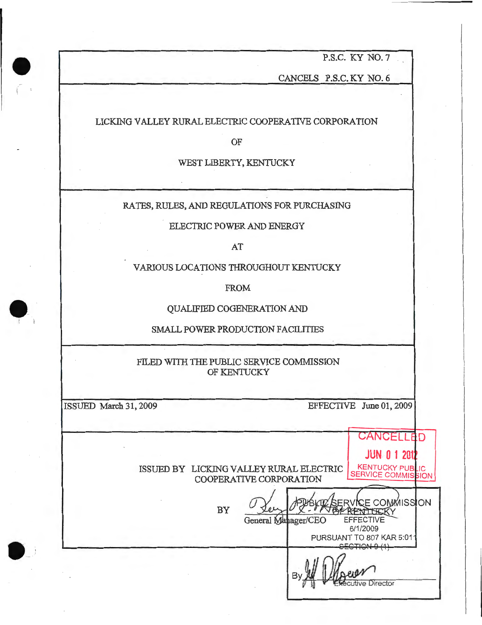P.S.C. KY NO.7

CANCELS P.S.C. KY NO.6

### LICKING VALLEY RURAL ELECTRIC COOPERATIVE CORPORATION

OF

#### WEST LIBERTY, KENTUCKY

RATES, RULES, AND REGULATIONS FOR PURCHASING

ELECTRIC POWER AND ENERGY

AT

VARIOUS LOCATIONS THROUGHOUT KENTUCKY

FROM

QUALIFIED COGENERATION AND

SMALL POWER PRODUCTION FACILITIES

FILED WITH THE PUBLIC SERVICE COMMISSION OF KENTUCKY

•

 $\bullet$ 

 $\bullet$ 

ISSUED March 31, 2009 EFFECTIVE June 01, 2009

**CANCELLED JUN 0 1 201**  ISSUED BY LICKING VALLEY RURAL ELECTRIC KENTUCKY PUBLIC COOPERATIVE CORPORATION - **!**<br>@x\T\$&KY BY General Manager/CEO EFFECTIVE 6/1/2009 PURSUANT TO 807 KAR 5:01 utive Director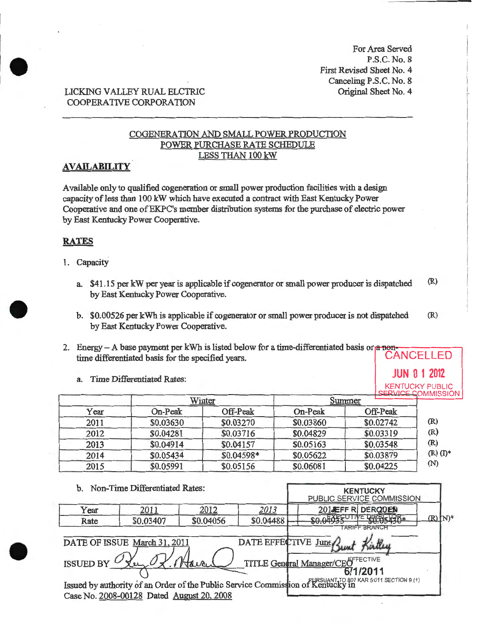For Area Served P.S.C. No.8 First Revised Sheet No. 4 Canceling P.S.C. No.8 Original Sheet No.4

KENTUCKY PUBLIC

# LICKING VALLEY RUAL ELCTRIC COOPERATIVE CORPORATION

# COGENERATION AND SMALL POWER PRODUCTION POWER PURCHASE RATE SCHEDULE LESS THAN 100 kW

# AVAILABILITY

Available only to qualified cogeneration or small power production facilities with a design capacity of less than 100 kW which have executed a contract with East Kentucky Power Cooperative and one of EKPC's member distribution systems for the purchase of electric power by East Kentucky Power Cooperative.

## RATES

- 1. Capacity
	- a. \$41.15 per kW per year is applicable if cogenerator or small power producer is dispatched  $(R)$ by East Kentucky Power Cooperative.
	- b. \$0.00526 per kWh is applicable if cogenerator or small power producer is not dispatched by East Kentucky Power Cooperative. (R)
- 2. Energy A base payment per kWh is listed below for a time-differentiated basis or  $\alpha$  nontime differentiated basis for the specified years. CANCELLED

a. Time Differentiated Rates: **JUN 0 1 2012** 

|      | LSERVICE COMMISSION<br>Winter<br>Summer |            |           |           |               |
|------|-----------------------------------------|------------|-----------|-----------|---------------|
| Year | On-Peak                                 | Off-Peak   | On-Peak   | Off-Peak  |               |
| 2011 | \$0.03630                               | \$0.03270  | \$0.03860 | \$0.02742 | (R)           |
| 2012 | \$0.04281                               | \$0.03716  | \$0.04829 | \$0.03319 | (R)           |
| 2013 | \$0.04914                               | \$0.04157  | \$0.05163 | \$0.03548 | (R)           |
| 2014 | \$0.05434                               | \$0.04598* | \$0.05622 | \$0.03879 | $(R)$ $(I)$ * |
| 2015 | \$0.05991                               | \$0.05156  | \$0.06081 | \$0.04225 | (N)           |

|               | b. Non-Time Differentiated Rates:                                         |                           |                     |                                                                                                                      | <b>KENTUCKY</b><br>PUBLIC SERVICE COMMISSION |                        |
|---------------|---------------------------------------------------------------------------|---------------------------|---------------------|----------------------------------------------------------------------------------------------------------------------|----------------------------------------------|------------------------|
| Year          | 2011                                                                      | 2012                      | 2013                | 2014EFF R DERQUES                                                                                                    |                                              |                        |
| Rate          | \$0.03407                                                                 | \$0.04056                 | \$0.04488           |                                                                                                                      | <b>ARIFF BRANCE</b>                          | $(R)$ $N$ <sup>*</sup> |
| ISSUED BY $C$ | DATE OF ISSUE March 31, 2011<br>Case No. 2008-00128 Dated August 20, 2008 | $\mathbf{0}$ $\mathbf{0}$ | DATE EFFECTIVE June | TITLE General Manager/CEOFFECTIVE<br>Issued by authority of an Order of the Public Service Commission of Kentucky in | 6/1/2011                                     |                        |



•

•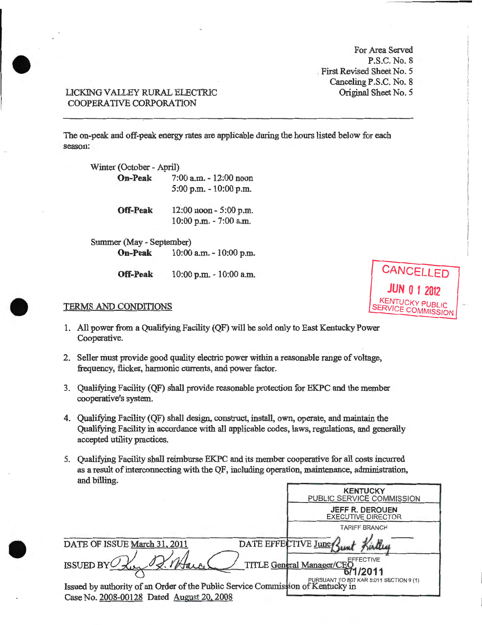For Area Served P.S.C. No. 8 , First Revised Sheet No. 5 Canceling P.S.C. No. 8 Original Sheet No. 5

## LICKING VALLEY RURAL ELECTRJC COOPERATIVE CORPORATION

•

•

•

The on-peak and off-peak energy rates are applicable during the hours listed below for each season:

Winter (October- April) **On-Peak** 7:00a.m.- 12:00 noon 5:00p.m.- 10:00 p.m. **Off-Peak** 12:00 noon - 5:00 p.m. 10:00 p.m. -7:00a.m.

Summer (May - September) **On-Peak** 10:00 a.m. - 10:00 p.m.

**Off-Peak** 10:00 p.m. - 10:00 a.m.



#### TERMS AND CONDITIONS

- 1. All power from a Qualifying Facility (QF) will be sold only to East Kentucky Power Cooperative.
- 2. Seller must provide good quality electric power within a reasonable range of voltage, frequency, flicker, harmonic currents, and power factor.
- 3. Qualifying Facility (QF) shall provide reasonable protection for EK.PC and the member cooperative's system.
- 4. Qualifying Facility (QF) shall design, construct, install, own, operate, and maintain the Qualifying Facility in accordance with all applicable codes, laws, regulations, and generally accepted utility practices.
- 5. Qualifying Facility shall reimburse EKPC and its member cooperative for all costs incurred as a result of interconnecting with the QF, including operation, maintenance, administration, and billing

|                                                                                                                              | <b>KENTUCKY</b><br>PUBLIC SERVICE COMMISSION |
|------------------------------------------------------------------------------------------------------------------------------|----------------------------------------------|
|                                                                                                                              | JEFF R. DEROLJEN<br><b>EXECUTIVE DRECTOR</b> |
|                                                                                                                              | <b>TARIFF BRANCH</b>                         |
| DATE OF ISSUE March 31, 2011                                                                                                 | DATE EFFECTIVE June                          |
| ISSUED BY                                                                                                                    | TITLE General Manager/CEO                    |
| Issued by authority of an Order of the Public Service Commission of Kentucky in<br>Case No. 2008-00128 Dated August 20, 2008 | PURSUANT TO 807 KAR 5:011 SECTION 9 (1)      |